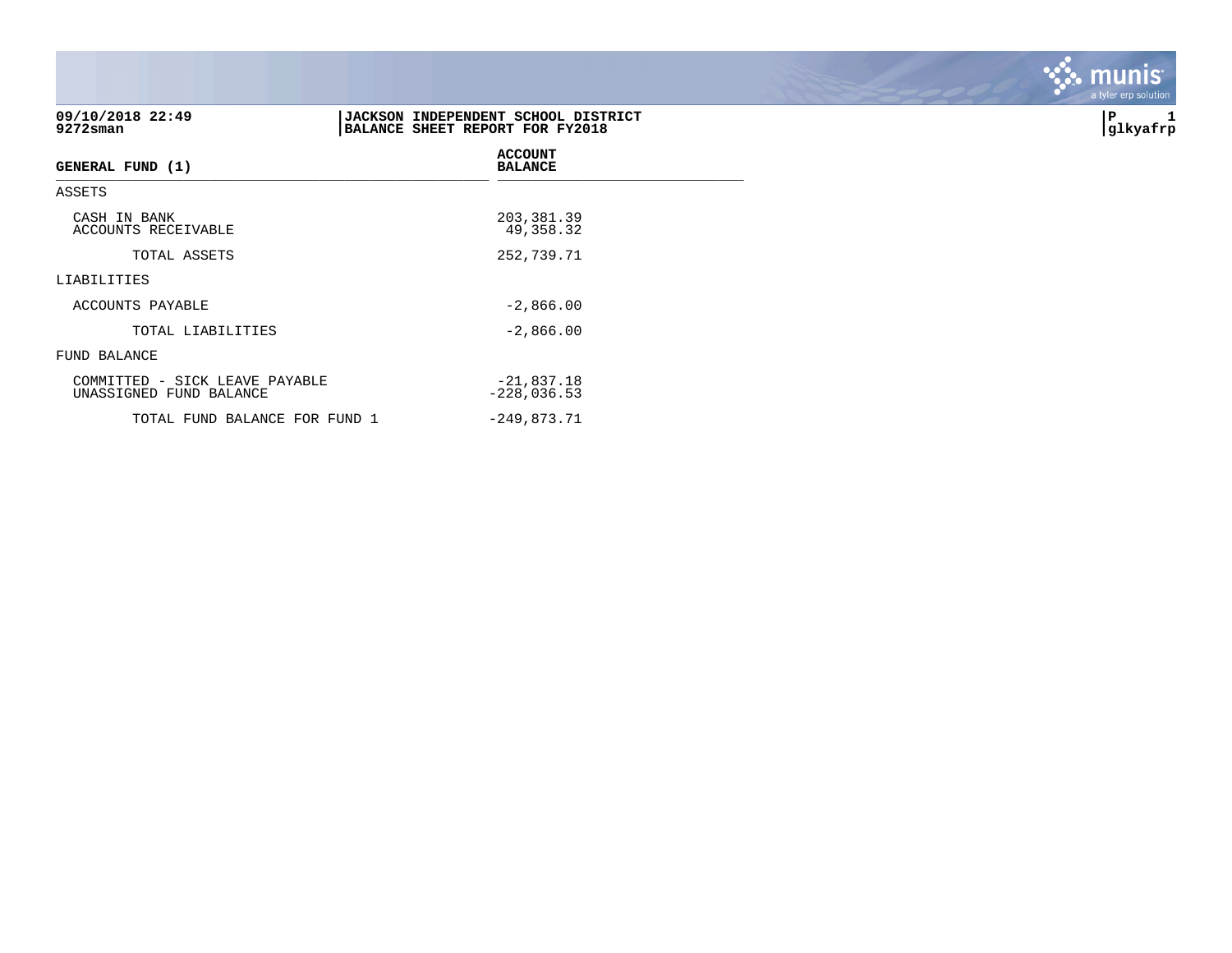| 09/10/2018 22:49<br>9272sman                              | JACKSON INDEPENDENT SCHOOL DISTRICT<br>BALANCE SHEET REPORT FOR FY2018 | İΡ<br>glkyafrp |
|-----------------------------------------------------------|------------------------------------------------------------------------|----------------|
| <b>GENERAL FUND (1)</b>                                   | <b>ACCOUNT</b><br><b>BALANCE</b>                                       |                |
| ASSETS                                                    |                                                                        |                |
| CASH IN BANK<br>ACCOUNTS RECEIVABLE                       | 203, 381.39<br>49,358.32                                               |                |
| TOTAL ASSETS                                              | 252,739.71                                                             |                |
| LIABILITIES                                               |                                                                        |                |
| ACCOUNTS PAYABLE                                          | $-2,866.00$                                                            |                |
| TOTAL LIABILITIES                                         | $-2,866.00$                                                            |                |
| FUND BALANCE                                              |                                                                        |                |
| COMMITTED - SICK LEAVE PAYABLE<br>UNASSIGNED FUND BALANCE | $-21,837.18$<br>$-228,036.53$                                          |                |
| TOTAL FUND BALANCE FOR FUND 1                             | $-249,873.71$                                                          |                |

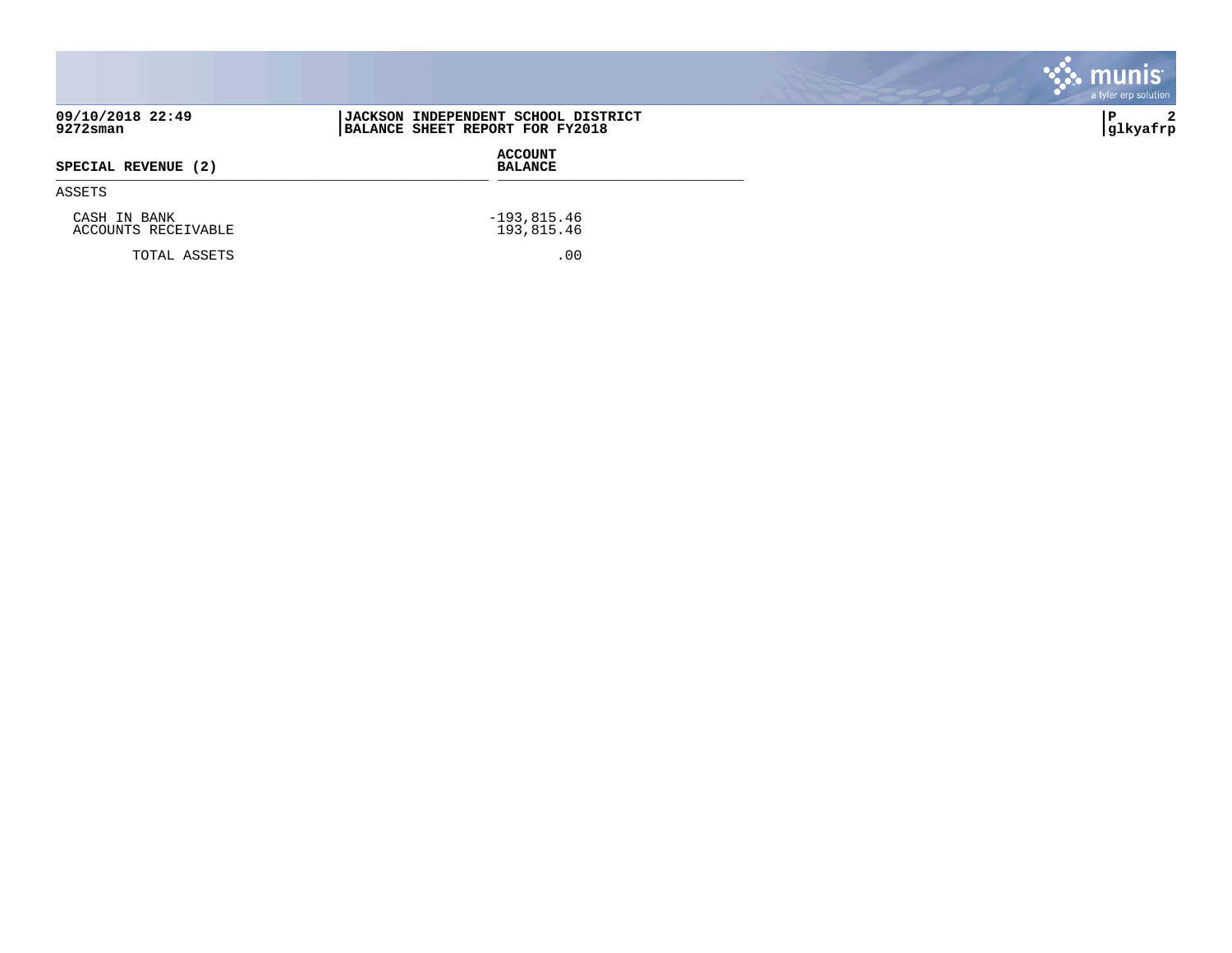|                                     |                                                                               | munis<br>a tyler erp solution |
|-------------------------------------|-------------------------------------------------------------------------------|-------------------------------|
| 09/10/2018 22:49<br>9272sman        | <b>JACKSON INDEPENDENT SCHOOL DISTRICT</b><br>BALANCE SHEET REPORT FOR FY2018 | 2<br>۱P.<br> glkyafrp         |
| SPECIAL REVENUE (2)                 | <b>ACCOUNT</b><br><b>BALANCE</b>                                              |                               |
| ASSETS                              |                                                                               |                               |
| CASH IN BANK<br>ACCOUNTS RECEIVABLE | $-193,815.46$<br>193,815.46                                                   |                               |
| TOTAL ASSETS                        | .00                                                                           |                               |

 $\mathcal{L}^{\text{max}}$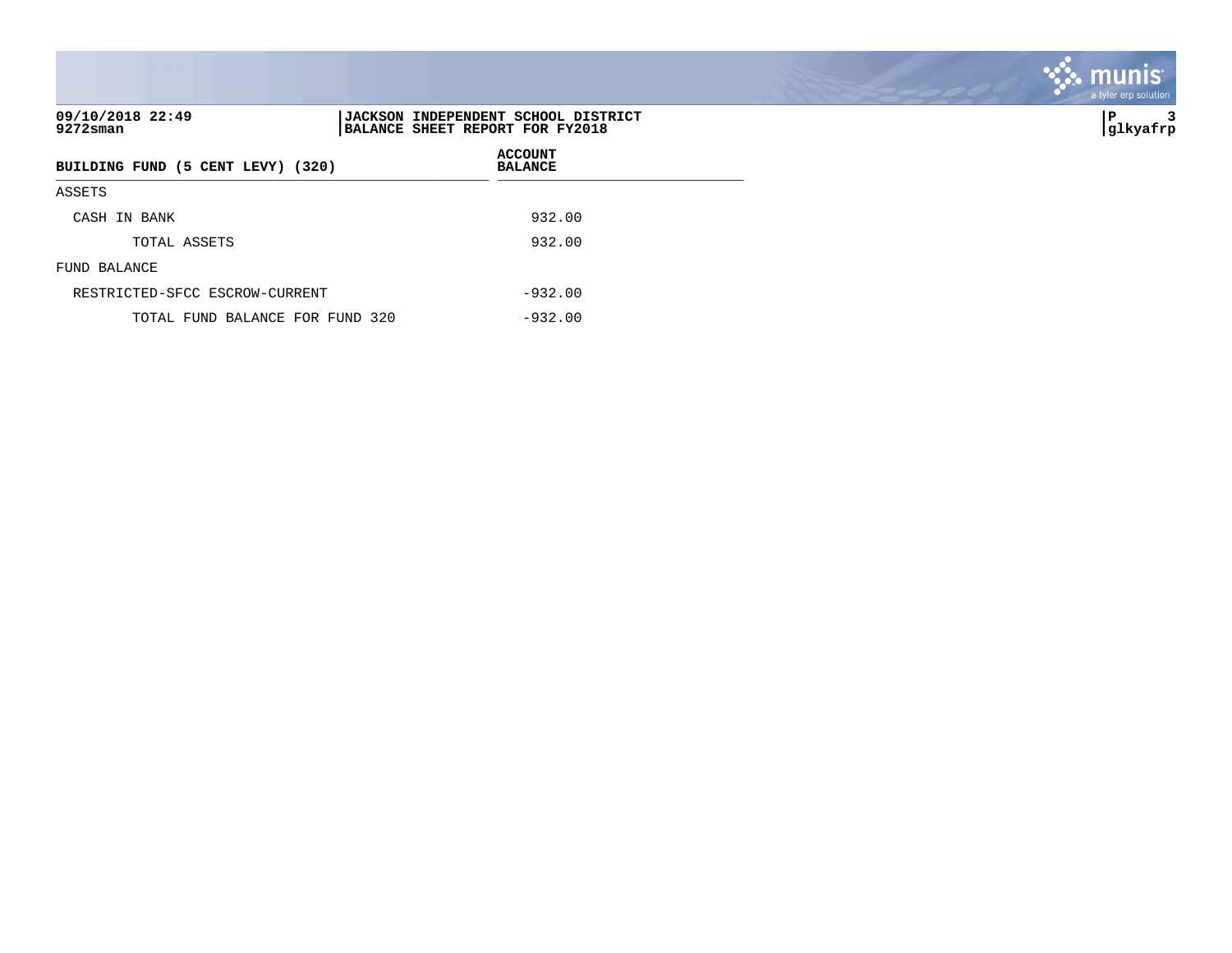| 09/10/2018 22:49<br>9272sman      | JACKSON INDEPENDENT SCHOOL DISTRICT<br>BALANCE SHEET REPORT FOR FY2018 |
|-----------------------------------|------------------------------------------------------------------------|
| BUILDING FUND (5 CENT LEVY) (320) | <b>ACCOUNT</b><br><b>BALANCE</b>                                       |
| ASSETS                            |                                                                        |
| CASH IN BANK                      | 932.00                                                                 |
| TOTAL ASSETS                      | 932.00                                                                 |
| FUND BALANCE                      |                                                                        |
| RESTRICTED-SFCC ESCROW-CURRENT    | $-932.00$                                                              |
| TOTAL FUND BALANCE FOR FUND 320   | $-932.00$                                                              |

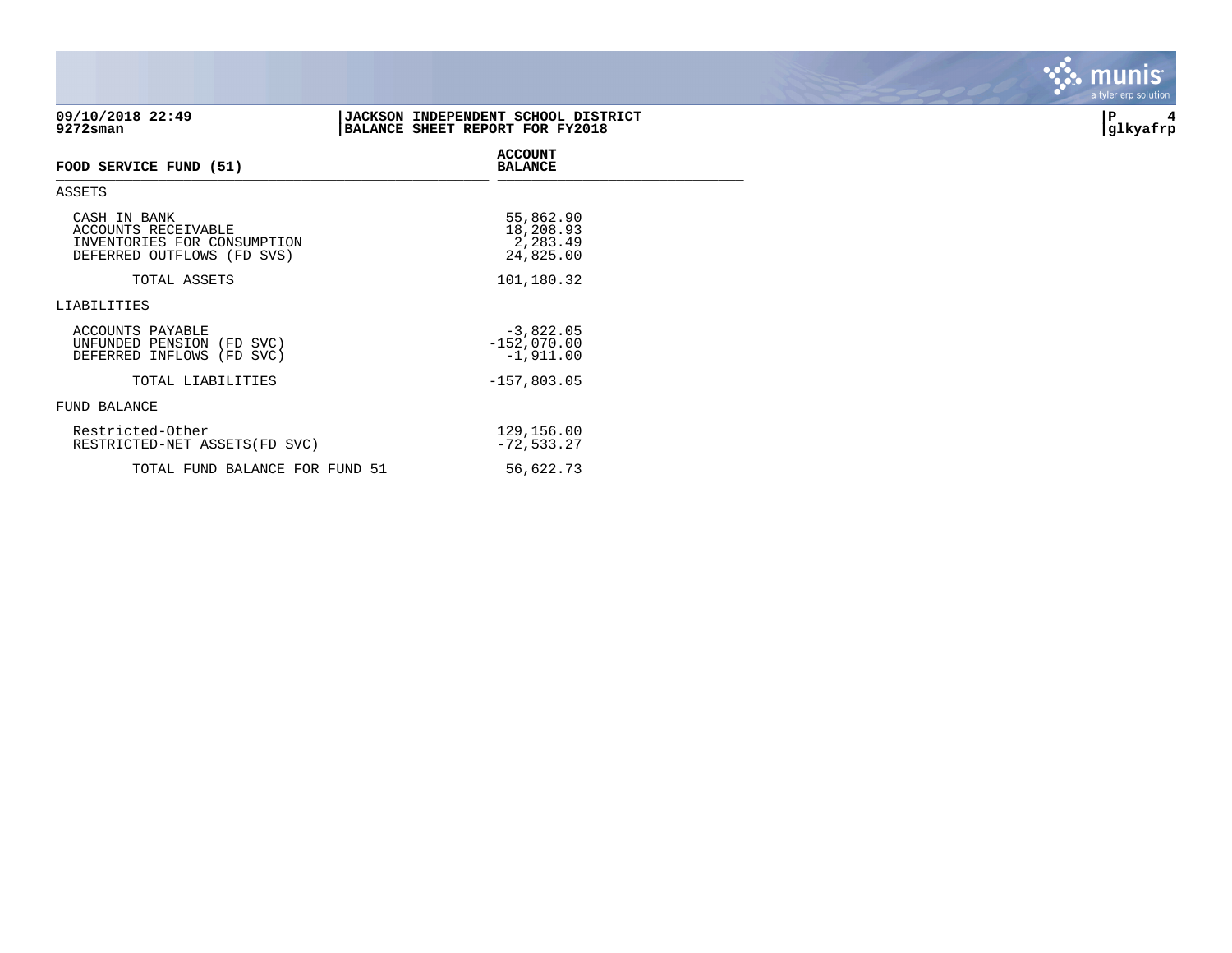|                                                                                                  |                                                                        | a give vip solution |
|--------------------------------------------------------------------------------------------------|------------------------------------------------------------------------|---------------------|
| 09/10/2018 22:49<br>$9272$ sman                                                                  | JACKSON INDEPENDENT SCHOOL DISTRICT<br>BALANCE SHEET REPORT FOR FY2018 | P<br>4<br>glkyafrp  |
| FOOD SERVICE FUND (51)                                                                           | <b>ACCOUNT</b><br><b>BALANCE</b>                                       |                     |
| ASSETS                                                                                           |                                                                        |                     |
| CASH IN BANK<br>ACCOUNTS RECEIVABLE<br>INVENTORIES FOR CONSUMPTION<br>DEFERRED OUTFLOWS (FD SVS) | 55,862.90<br>18,208.93<br>2,283.49<br>24,825.00                        |                     |
| TOTAL ASSETS                                                                                     | 101,180.32                                                             |                     |
| LIABILITIES                                                                                      |                                                                        |                     |
| ACCOUNTS PAYABLE<br>UNFUNDED PENSION (FD SVC)<br>DEFERRED INFLOWS (FD SVC)                       | $-3,822.05$<br>$-152,070.00$<br>$-1,911.00$                            |                     |
| TOTAL LIABILITIES                                                                                | $-157,803.05$                                                          |                     |
| FUND BALANCE                                                                                     |                                                                        |                     |
| Restricted-Other<br>RESTRICTED-NET ASSETS (FD SVC)                                               | 129,156.00<br>$-72,533.27$                                             |                     |

TOTAL FUND BALANCE FOR FUND 51 56,622.73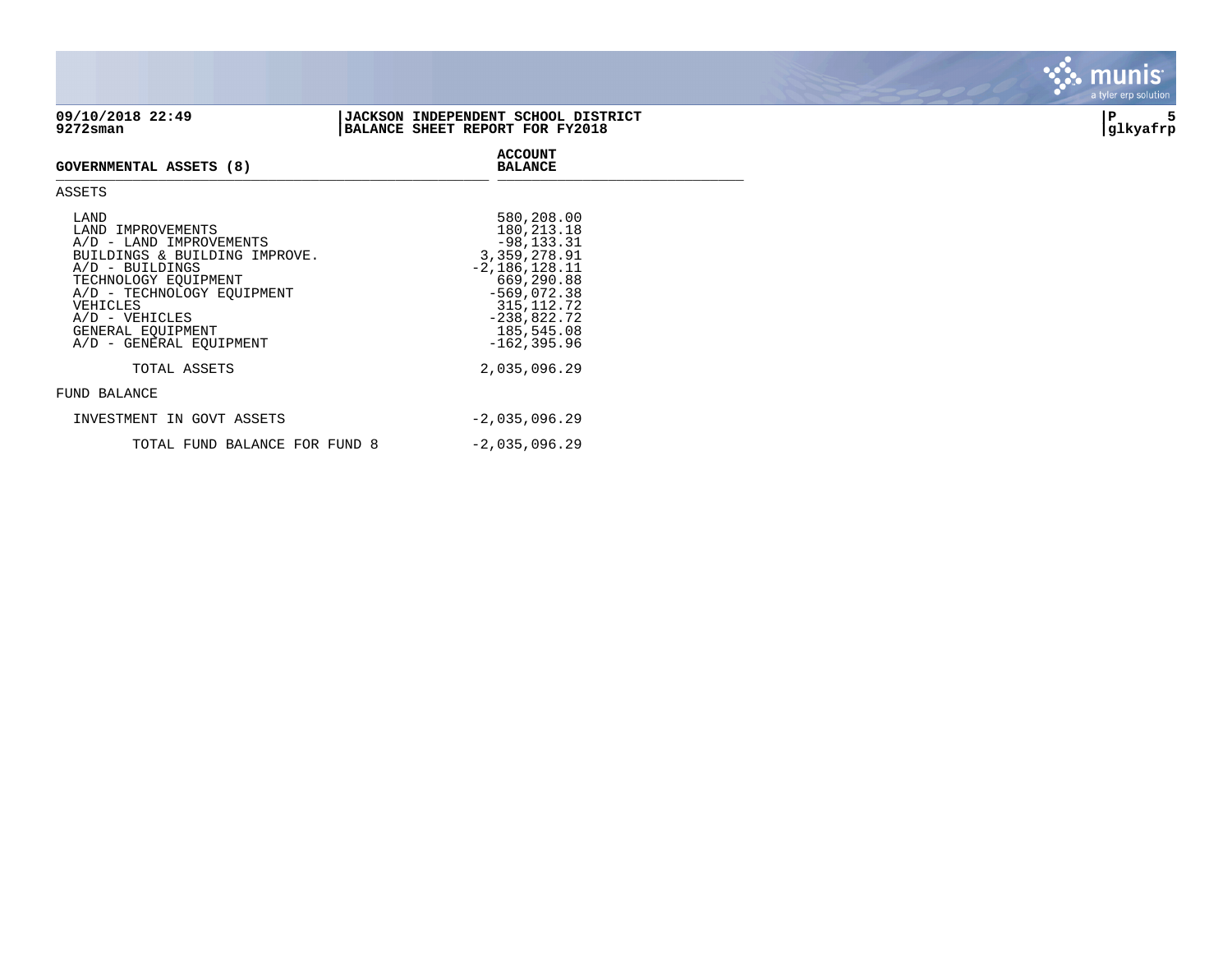## **09/10/2018 22:49 |JACKSON INDEPENDENT SCHOOL DISTRICT |P 5 BALANCE SHEET REPORT FOR FY2018**





munis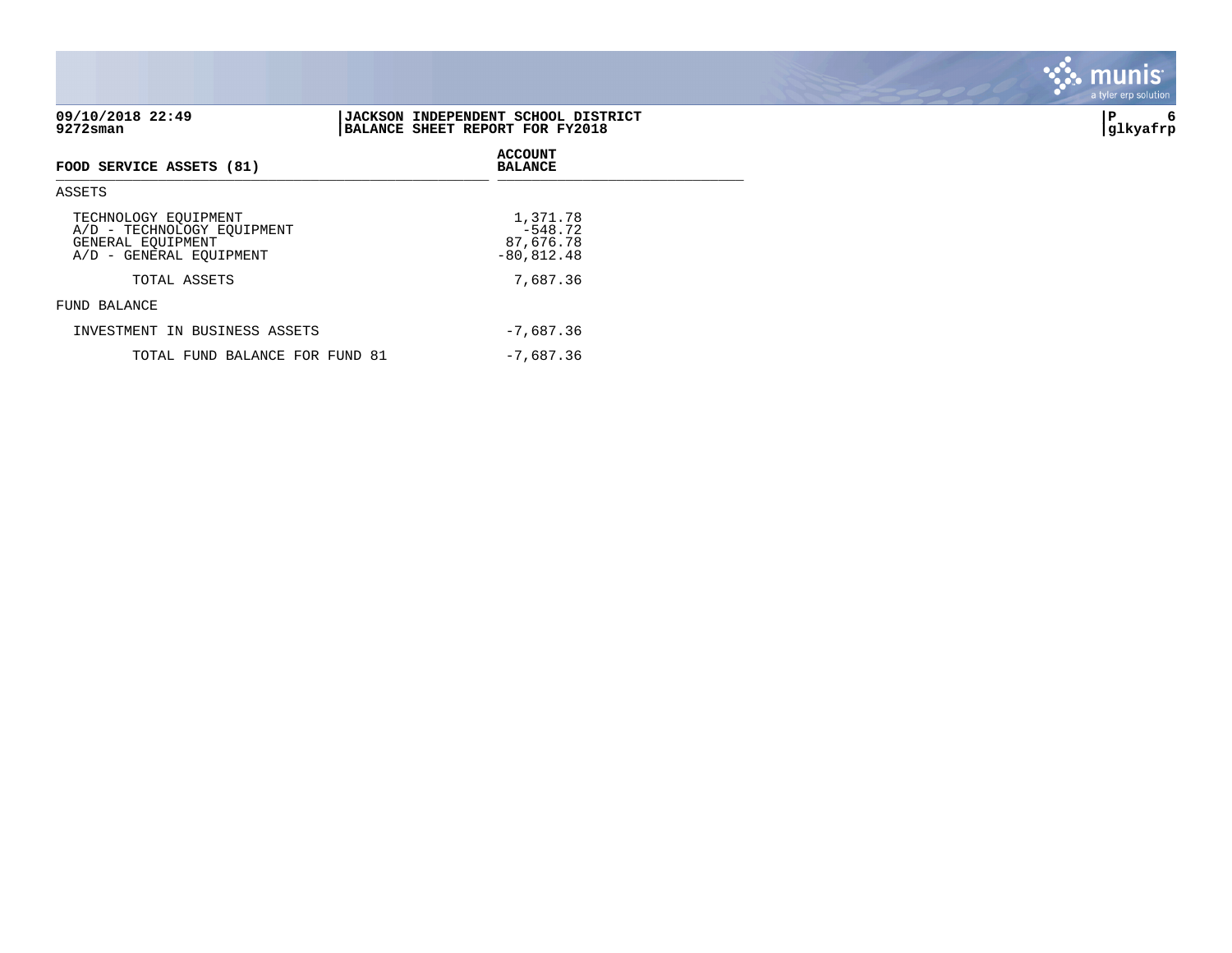| 09/10/2018 22:49<br>$9272$ sman                                                                    | JACKSON INDEPENDENT SCHOOL DISTRICT<br>BALANCE SHEET REPORT FOR FY2018 | P<br>6<br> glkyafrp |
|----------------------------------------------------------------------------------------------------|------------------------------------------------------------------------|---------------------|
| FOOD SERVICE ASSETS (81)                                                                           | <b>ACCOUNT</b><br><b>BALANCE</b>                                       |                     |
| <b>ASSETS</b>                                                                                      |                                                                        |                     |
| TECHNOLOGY EQUIPMENT<br>A/D - TECHNOLOGY EQUIPMENT<br>GENERAL EQUIPMENT<br>A/D - GENERAL EOUIPMENT | 1,371.78<br>$-548.72$<br>87,676.78<br>$-80,812.48$                     |                     |
| TOTAL ASSETS                                                                                       | 7,687.36                                                               |                     |
| FUND BALANCE                                                                                       |                                                                        |                     |
| INVESTMENT IN BUSINESS ASSETS                                                                      | $-7,687.36$                                                            |                     |
| TOTAL FUND BALANCE FOR FUND 81                                                                     | $-7,687.36$                                                            |                     |